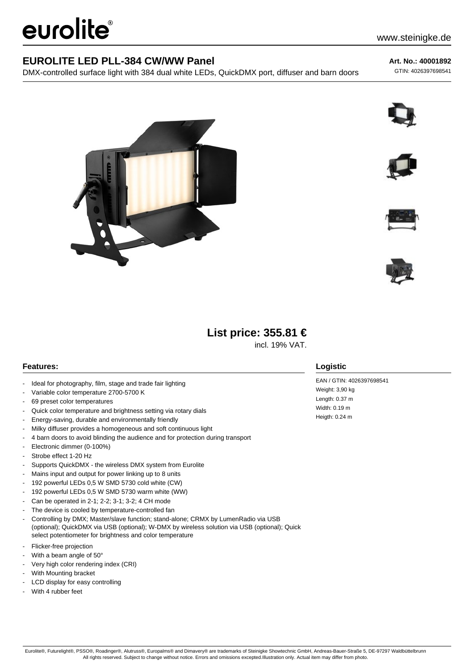# eurolite®

### **EUROLITE LED PLL-384 CW/WW Panel**

DMX-controlled surface light with 384 dual white LEDs, QuickDMX port, diffuser and barn doors

**Art. No.: 40001892**

GTIN: 4026397698541











# **List price: 355.81 €**

incl. 19% VAT.

#### **Features:**

- Ideal for photography, film, stage and trade fair lighting
- Variable color temperature 2700-5700 K
- 69 preset color temperatures
- Quick color temperature and brightness setting via rotary dials
- Energy-saving, durable and environmentally friendly
- Milky diffuser provides a homogeneous and soft continuous light
- 4 barn doors to avoid blinding the audience and for protection during transport
- Electronic dimmer (0-100%)
- Strobe effect 1-20 Hz
- Supports QuickDMX the wireless DMX system from Eurolite
- Mains input and output for power linking up to 8 units
- 192 powerful LEDs 0,5 W SMD 5730 cold white (CW)
- 192 powerful LEDs 0,5 W SMD 5730 warm white (WW)
- Can be operated in 2-1; 2-2; 3-1; 3-2; 4 CH mode
- The device is cooled by temperature-controlled fan
- Controlling by DMX; Master/slave function; stand-alone; CRMX by LumenRadio via USB (optional); QuickDMX via USB (optional); W-DMX by wireless solution via USB (optional); Quick select potentiometer for brightness and color temperature
- Flicker-free projection
- With a beam angle of 50°
- Very high color rendering index (CRI)
- With Mounting bracket
- LCD display for easy controlling
- With 4 rubber feet

#### **Logistic**

EAN / GTIN: 4026397698541 Weight: 3,90 kg Length: 0.37 m Width: 0.19 m Heigth: 0.24 m

Eurolite®, Futurelight®, PSSO®, Roadinger®, Alutruss®, Europalms® and Dimavery® are trademarks of Steinigke Showtechnic GmbH, Andreas-Bauer-Straße 5, DE-97297 Waldbüttelbrunn All rights reserved. Subject to change without notice. Errors and omissions excepted.Illustration only. Actual item may differ from photo.